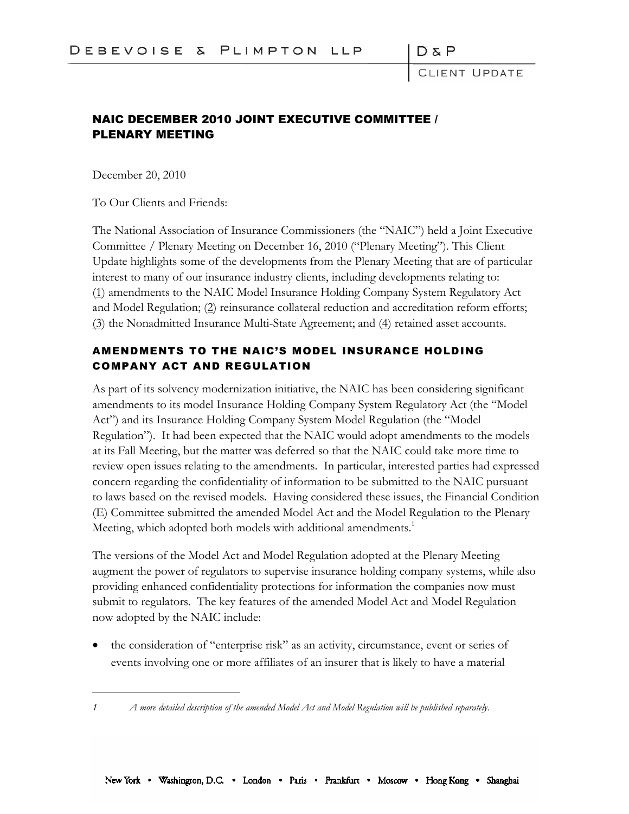DδF

LIENT UPDATE

# NAIC DECEMBER 2010 JOINT EXECUTIVE COMMITTEE / PLENARY MEETING

December 20, 2010

To Our Clients and Friends:

The National Association of Insurance Commissioners (the "NAIC") held a Joint Executive Committee / Plenary Meeting on December 16, 2010 ("Plenary Meeting"). This Client Update highlights some of the developments from the Plenary Meeting that are of particular interest to many of our insurance industry clients, including developments relating to: (1) amendments to the NAIC Model Insurance Holding Company System Regulatory Act and Model Regulation; (2) reinsurance collateral reduction and accreditation reform efforts; (3) the Nonadmitted Insurance Multi-State Agreement; and (4) retained asset accounts.

## AMENDMENTS TO THE NAIC'S MODEL INSURANCE HOLDING COMPANY ACT AND REGULATION

As part of its solvency modernization initiative, the NAIC has been considering significant amendments to its model Insurance Holding Company System Regulatory Act (the "Model Act") and its Insurance Holding Company System Model Regulation (the "Model Regulation"). It had been expected that the NAIC would adopt amendments to the models at its Fall Meeting, but the matter was deferred so that the NAIC could take more time to review open issues relating to the amendments. In particular, interested parties had expressed concern regarding the confidentiality of information to be submitted to the NAIC pursuant to laws based on the revised models. Having considered these issues, the Financial Condition (E) Committee submitted the amended Model Act and the Model Regulation to the Plenary Meeting, which adopted both models with additional amendments.<sup>1</sup>

The versions of the Model Act and Model Regulation adopted at the Plenary Meeting augment the power of regulators to supervise insurance holding company systems, while also providing enhanced confidentiality protections for information the companies now must submit to regulators. The key features of the amended Model Act and Model Regulation now adopted by the NAIC include:

 the consideration of "enterprise risk" as an activity, circumstance, event or series of events involving one or more affiliates of an insurer that is likely to have a material

*<sup>1</sup> A more detailed description of the amended Model Act and Model Regulation will be published separately.*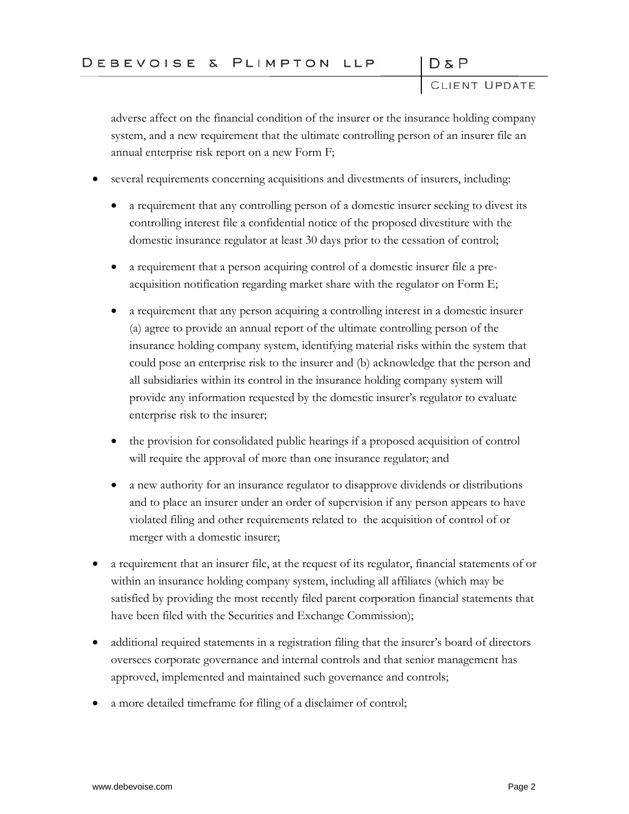$D & P$ 

adverse affect on the financial condition of the insurer or the insurance holding company system, and a new requirement that the ultimate controlling person of an insurer file an annual enterprise risk report on a new Form F;

- several requirements concerning acquisitions and divestments of insurers, including:
	- a requirement that any controlling person of a domestic insurer seeking to divest its controlling interest file a confidential notice of the proposed divestiture with the domestic insurance regulator at least 30 days prior to the cessation of control;
	- a requirement that a person acquiring control of a domestic insurer file a preacquisition notification regarding market share with the regulator on Form E;
	- a requirement that any person acquiring a controlling interest in a domestic insurer (a) agree to provide an annual report of the ultimate controlling person of the insurance holding company system, identifying material risks within the system that could pose an enterprise risk to the insurer and (b) acknowledge that the person and all subsidiaries within its control in the insurance holding company system will provide any information requested by the domestic insurer's regulator to evaluate enterprise risk to the insurer;
	- the provision for consolidated public hearings if a proposed acquisition of control will require the approval of more than one insurance regulator; and
	- a new authority for an insurance regulator to disapprove dividends or distributions and to place an insurer under an order of supervision if any person appears to have violated filing and other requirements related to the acquisition of control of or merger with a domestic insurer;
- a requirement that an insurer file, at the request of its regulator, financial statements of or within an insurance holding company system, including all affiliates (which may be satisfied by providing the most recently filed parent corporation financial statements that have been filed with the Securities and Exchange Commission);
- additional required statements in a registration filing that the insurer's board of directors oversees corporate governance and internal controls and that senior management has approved, implemented and maintained such governance and controls;
- a more detailed timeframe for filing of a disclaimer of control;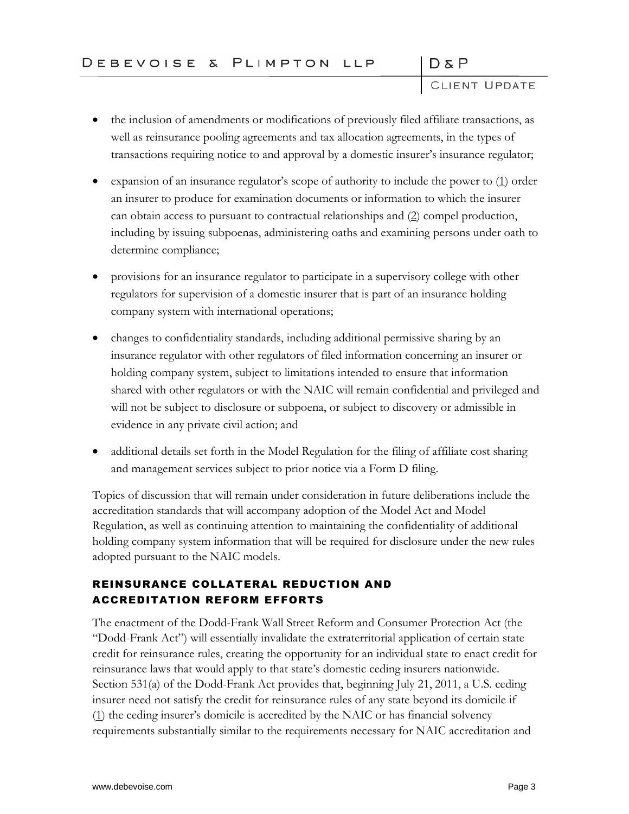DδP

D & P<br>CLIENT UPDATE

- the inclusion of amendments or modifications of previously filed affiliate transactions, as well as reinsurance pooling agreements and tax allocation agreements, in the types of transactions requiring notice to and approval by a domestic insurer's insurance regulator;
- expansion of an insurance regulator's scope of authority to include the power to  $(1)$  order an insurer to produce for examination documents or information to which the insurer can obtain access to pursuant to contractual relationships and (2) compel production, including by issuing subpoenas, administering oaths and examining persons under oath to determine compliance;
- provisions for an insurance regulator to participate in a supervisory college with other regulators for supervision of a domestic insurer that is part of an insurance holding company system with international operations;
- changes to confidentiality standards, including additional permissive sharing by an insurance regulator with other regulators of filed information concerning an insurer or holding company system, subject to limitations intended to ensure that information shared with other regulators or with the NAIC will remain confidential and privileged and will not be subject to disclosure or subpoena, or subject to discovery or admissible in evidence in any private civil action; and
- additional details set forth in the Model Regulation for the filing of affiliate cost sharing and management services subject to prior notice via a Form D filing.

Topics of discussion that will remain under consideration in future deliberations include the accreditation standards that will accompany adoption of the Model Act and Model Regulation, as well as continuing attention to maintaining the confidentiality of additional holding company system information that will be required for disclosure under the new rules adopted pursuant to the NAIC models.

# REINSURANCE COLLATERAL REDUCTION AND ACCREDITATION REFORM EFFORTS

The enactment of the Dodd-Frank Wall Street Reform and Consumer Protection Act (the "Dodd-Frank Act") will essentially invalidate the extraterritorial application of certain state credit for reinsurance rules, creating the opportunity for an individual state to enact credit for reinsurance laws that would apply to that state's domestic ceding insurers nationwide. Section 531(a) of the Dodd-Frank Act provides that, beginning July 21, 2011, a U.S. ceding insurer need not satisfy the credit for reinsurance rules of any state beyond its domicile if (1) the ceding insurer's domicile is accredited by the NAIC or has financial solvency requirements substantially similar to the requirements necessary for NAIC accreditation and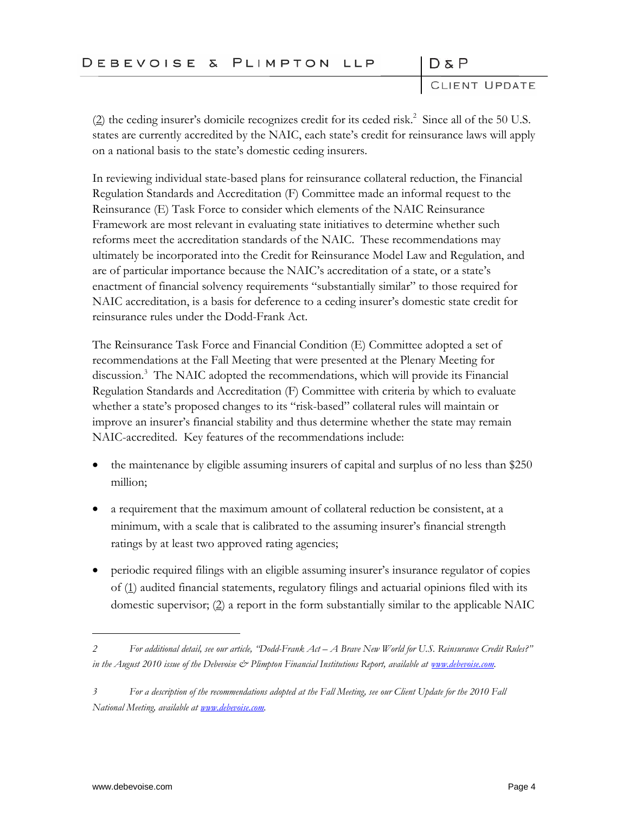# DEBEVOISE & PLIMPTON LLP

 $D & P$ 

CLIENT UPDATE

 $(2)$  the ceding insurer's domicile recognizes credit for its ceded risk.<sup>2</sup> Since all of the 50 U.S. states are currently accredited by the NAIC, each state's credit for reinsurance laws will apply on a national basis to the state's domestic ceding insurers.

In reviewing individual state-based plans for reinsurance collateral reduction, the Financial Regulation Standards and Accreditation (F) Committee made an informal request to the Reinsurance (E) Task Force to consider which elements of the NAIC Reinsurance Framework are most relevant in evaluating state initiatives to determine whether such reforms meet the accreditation standards of the NAIC. These recommendations may ultimately be incorporated into the Credit for Reinsurance Model Law and Regulation, and are of particular importance because the NAIC's accreditation of a state, or a state's enactment of financial solvency requirements "substantially similar" to those required for NAIC accreditation, is a basis for deference to a ceding insurer's domestic state credit for reinsurance rules under the Dodd-Frank Act.

The Reinsurance Task Force and Financial Condition (E) Committee adopted a set of recommendations at the Fall Meeting that were presented at the Plenary Meeting for discussion.<sup>3</sup> The NAIC adopted the recommendations, which will provide its Financial Regulation Standards and Accreditation (F) Committee with criteria by which to evaluate whether a state's proposed changes to its "risk-based" collateral rules will maintain or improve an insurer's financial stability and thus determine whether the state may remain NAIC-accredited. Key features of the recommendations include:

- the maintenance by eligible assuming insurers of capital and surplus of no less than \$250 million;
- a requirement that the maximum amount of collateral reduction be consistent, at a minimum, with a scale that is calibrated to the assuming insurer's financial strength ratings by at least two approved rating agencies;
- periodic required filings with an eligible assuming insurer's insurance regulator of copies of (1) audited financial statements, regulatory filings and actuarial opinions filed with its domestic supervisor;  $(2)$  a report in the form substantially similar to the applicable NAIC

*<sup>2</sup> For additional detail, see our article, "Dodd-Frank Act – A Brave New World for U.S. Reinsurance Credit Rules?" in the August 2010 issue of the Debevoise & Plimpton Financial Institutions Report, available at [www.debevoise.com.](www.debevoise.com)*

*<sup>3</sup> For a description of the recommendations adopted at the Fall Meeting, see our Client Update for the 2010 Fall National Meeting, available at [www.debevoise.com.](www.debevoise.com)*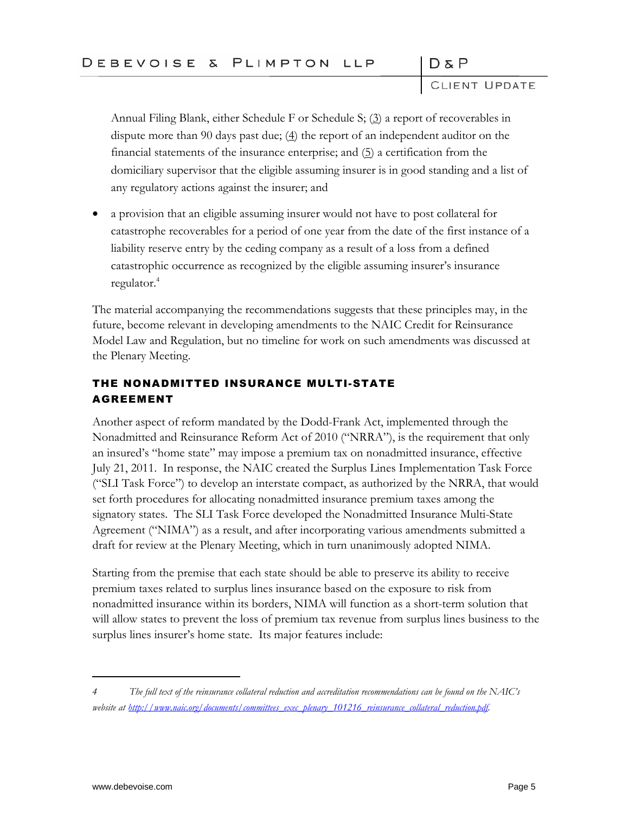$D & P$ 

Annual Filing Blank, either Schedule F or Schedule S;  $(3)$  a report of recoverables in dispute more than 90 days past due;  $(4)$  the report of an independent auditor on the financial statements of the insurance enterprise; and  $(5)$  a certification from the domiciliary supervisor that the eligible assuming insurer is in good standing and a list of any regulatory actions against the insurer; and

 a provision that an eligible assuming insurer would not have to post collateral for catastrophe recoverables for a period of one year from the date of the first instance of a liability reserve entry by the ceding company as a result of a loss from a defined catastrophic occurrence as recognized by the eligible assuming insurer's insurance regulator.<sup>4</sup>

The material accompanying the recommendations suggests that these principles may, in the future, become relevant in developing amendments to the NAIC Credit for Reinsurance Model Law and Regulation, but no timeline for work on such amendments was discussed at the Plenary Meeting.

## THE NONADMITTED INSURANCE MULTI-STATE AGREEMENT

Another aspect of reform mandated by the Dodd-Frank Act, implemented through the Nonadmitted and Reinsurance Reform Act of 2010 ("NRRA"), is the requirement that only an insured's "home state" may impose a premium tax on nonadmitted insurance, effective July 21, 2011. In response, the NAIC created the Surplus Lines Implementation Task Force ("SLI Task Force") to develop an interstate compact, as authorized by the NRRA, that would set forth procedures for allocating nonadmitted insurance premium taxes among the signatory states. The SLI Task Force developed the Nonadmitted Insurance Multi-State Agreement ("NIMA") as a result, and after incorporating various amendments submitted a draft for review at the Plenary Meeting, which in turn unanimously adopted NIMA.

Starting from the premise that each state should be able to preserve its ability to receive premium taxes related to surplus lines insurance based on the exposure to risk from nonadmitted insurance within its borders, NIMA will function as a short-term solution that will allow states to prevent the loss of premium tax revenue from surplus lines business to the surplus lines insurer's home state. Its major features include:

*<sup>4</sup> The full text of the reinsurance collateral reduction and accreditation recommendations can be found on the NAIC's website at [http://www.naic.org/documents/committees\\_exec\\_plenary\\_101216\\_reinsurance\\_collateral\\_reduction.pdf.](http://www.naic.org/documents/committees_exec_plenary_101216_reinsurance_collateral_reduction.pdf)*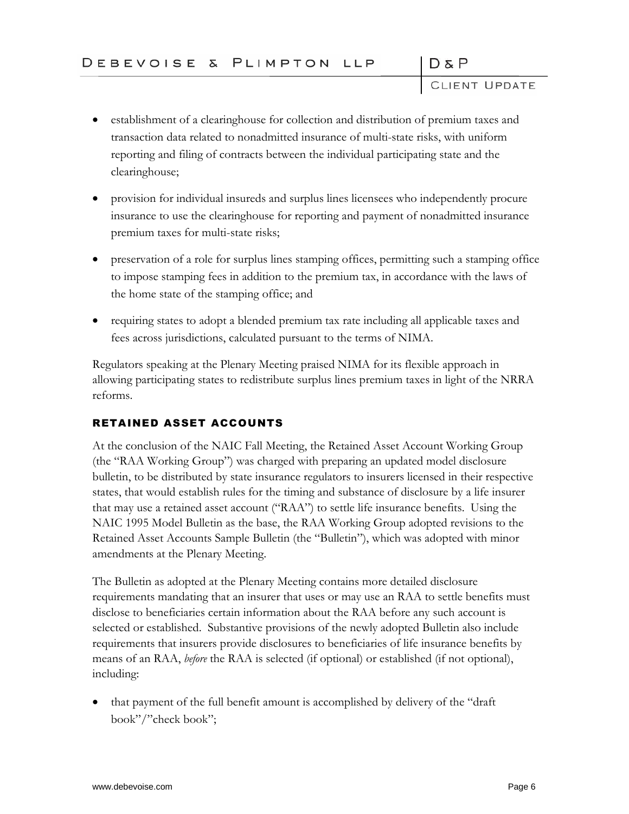$D & P$ 

- establishment of a clearinghouse for collection and distribution of premium taxes and transaction data related to nonadmitted insurance of multi-state risks, with uniform reporting and filing of contracts between the individual participating state and the clearinghouse;
- provision for individual insureds and surplus lines licensees who independently procure insurance to use the clearinghouse for reporting and payment of nonadmitted insurance premium taxes for multi-state risks;
- preservation of a role for surplus lines stamping offices, permitting such a stamping office to impose stamping fees in addition to the premium tax, in accordance with the laws of the home state of the stamping office; and
- requiring states to adopt a blended premium tax rate including all applicable taxes and fees across jurisdictions, calculated pursuant to the terms of NIMA.

Regulators speaking at the Plenary Meeting praised NIMA for its flexible approach in allowing participating states to redistribute surplus lines premium taxes in light of the NRRA reforms.

# RETAINED ASSET ACCOUNTS

At the conclusion of the NAIC Fall Meeting, the Retained Asset Account Working Group (the "RAA Working Group") was charged with preparing an updated model disclosure bulletin, to be distributed by state insurance regulators to insurers licensed in their respective states, that would establish rules for the timing and substance of disclosure by a life insurer that may use a retained asset account ("RAA") to settle life insurance benefits. Using the NAIC 1995 Model Bulletin as the base, the RAA Working Group adopted revisions to the Retained Asset Accounts Sample Bulletin (the "Bulletin"), which was adopted with minor amendments at the Plenary Meeting.

The Bulletin as adopted at the Plenary Meeting contains more detailed disclosure requirements mandating that an insurer that uses or may use an RAA to settle benefits must disclose to beneficiaries certain information about the RAA before any such account is selected or established. Substantive provisions of the newly adopted Bulletin also include requirements that insurers provide disclosures to beneficiaries of life insurance benefits by means of an RAA, *before* the RAA is selected (if optional) or established (if not optional), including:

 that payment of the full benefit amount is accomplished by delivery of the "draft book"/"check book";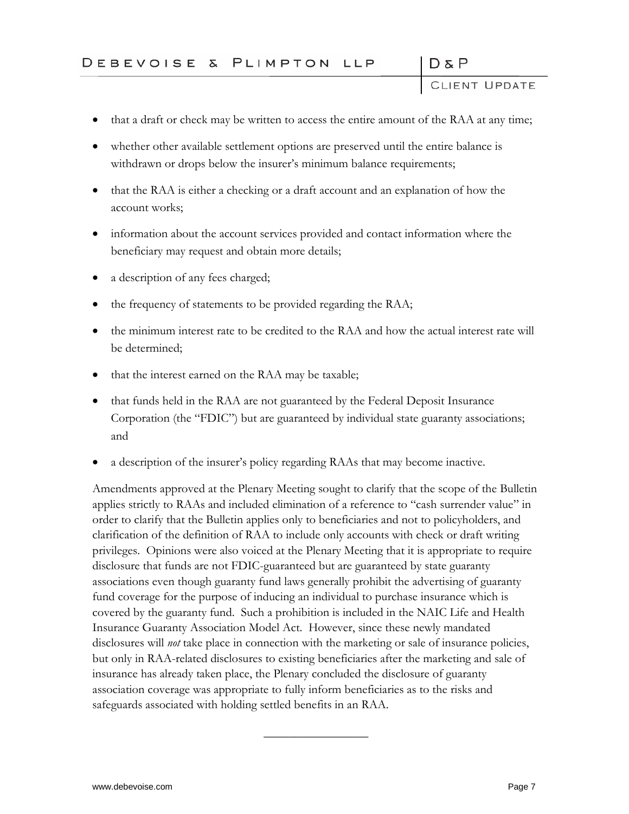DδP

- that a draft or check may be written to access the entire amount of the RAA at any time;
- whether other available settlement options are preserved until the entire balance is withdrawn or drops below the insurer's minimum balance requirements;
- that the RAA is either a checking or a draft account and an explanation of how the account works;
- information about the account services provided and contact information where the beneficiary may request and obtain more details;
- a description of any fees charged;
- the frequency of statements to be provided regarding the RAA;
- the minimum interest rate to be credited to the RAA and how the actual interest rate will be determined;
- that the interest earned on the RAA may be taxable;
- that funds held in the RAA are not guaranteed by the Federal Deposit Insurance Corporation (the "FDIC") but are guaranteed by individual state guaranty associations; and
- a description of the insurer's policy regarding RAAs that may become inactive.

Amendments approved at the Plenary Meeting sought to clarify that the scope of the Bulletin applies strictly to RAAs and included elimination of a reference to "cash surrender value" in order to clarify that the Bulletin applies only to beneficiaries and not to policyholders, and clarification of the definition of RAA to include only accounts with check or draft writing privileges. Opinions were also voiced at the Plenary Meeting that it is appropriate to require disclosure that funds are not FDIC-guaranteed but are guaranteed by state guaranty associations even though guaranty fund laws generally prohibit the advertising of guaranty fund coverage for the purpose of inducing an individual to purchase insurance which is covered by the guaranty fund. Such a prohibition is included in the NAIC Life and Health Insurance Guaranty Association Model Act. However, since these newly mandated disclosures will *not* take place in connection with the marketing or sale of insurance policies, but only in RAA-related disclosures to existing beneficiaries after the marketing and sale of insurance has already taken place, the Plenary concluded the disclosure of guaranty association coverage was appropriate to fully inform beneficiaries as to the risks and safeguards associated with holding settled benefits in an RAA.

 $\frac{1}{2}$  ,  $\frac{1}{2}$  ,  $\frac{1}{2}$  ,  $\frac{1}{2}$  ,  $\frac{1}{2}$  ,  $\frac{1}{2}$  ,  $\frac{1}{2}$